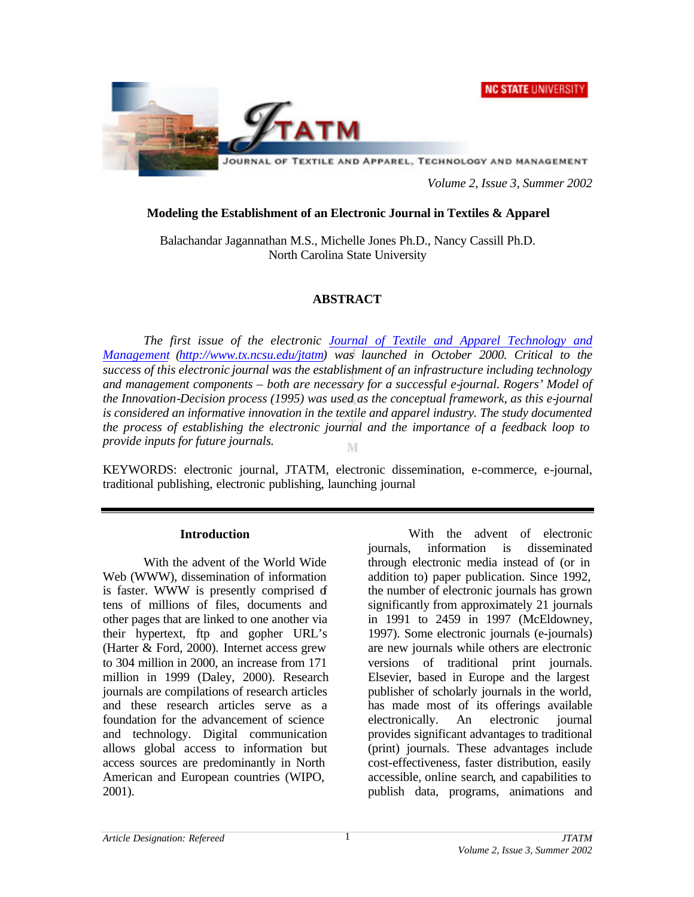# **NC STATE UNIVERSITY**



JOURNAL OF TEXTILE AND APPAREL, TECHNOLOGY AND MANAGEMENT

*Volume 2, Issue 3, Summer 2002*

#### **Modeling the Establishment of an Electronic Journal in Textiles & Apparel**

Balachandar Jagannathan M.S., Michelle Jones Ph.D., Nancy Cassill Ph.D. North Carolina State University

# **ABSTRACT**

*The first issue of the electronic Journal of Textile and Apparel Technology and Management (http://www.tx.ncsu.edu/jtatm) was launched in October 2000. Critical to the success of this electronic journal was the establishment of an infrastructure including technology and management components – both are necessary for a successful e-journal. Rogers' Model of the Innovation-Decision process (1995) was used as the conceptual framework, as this e-journal is considered an informative innovation in the textile and apparel industry. The study documented the process of establishing the electronic journal and the importance of a feedback loop to provide inputs for future journals.*  M

KEYWORDS: electronic journal, JTATM, electronic dissemination, e-commerce, e-journal, traditional publishing, electronic publishing, launching journal

#### **Introduction**

With the advent of the World Wide Web (WWW), dissemination of information is faster. WWW is presently comprised of tens of millions of files, documents and other pages that are linked to one another via their hypertext, ftp and gopher URL's (Harter & Ford, 2000). Internet access grew to 304 million in 2000, an increase from 171 million in 1999 (Daley, 2000). Research journals are compilations of research articles and these research articles serve as a foundation for the advancement of science and technology. Digital communication allows global access to information but access sources are predominantly in North American and European countries (WIPO, 2001).

With the advent of electronic journals, information is disseminated through electronic media instead of (or in addition to) paper publication. Since 1992, the number of electronic journals has grown significantly from approximately 21 journals in 1991 to 2459 in 1997 (McEldowney, 1997). Some electronic journals (e-journals) are new journals while others are electronic versions of traditional print journals. Elsevier, based in Europe and the largest publisher of scholarly journals in the world, has made most of its offerings available electronically. An electronic journal provides significant advantages to traditional (print) journals. These advantages include cost-effectiveness, faster distribution, easily accessible, online search, and capabilities to publish data, programs, animations and

1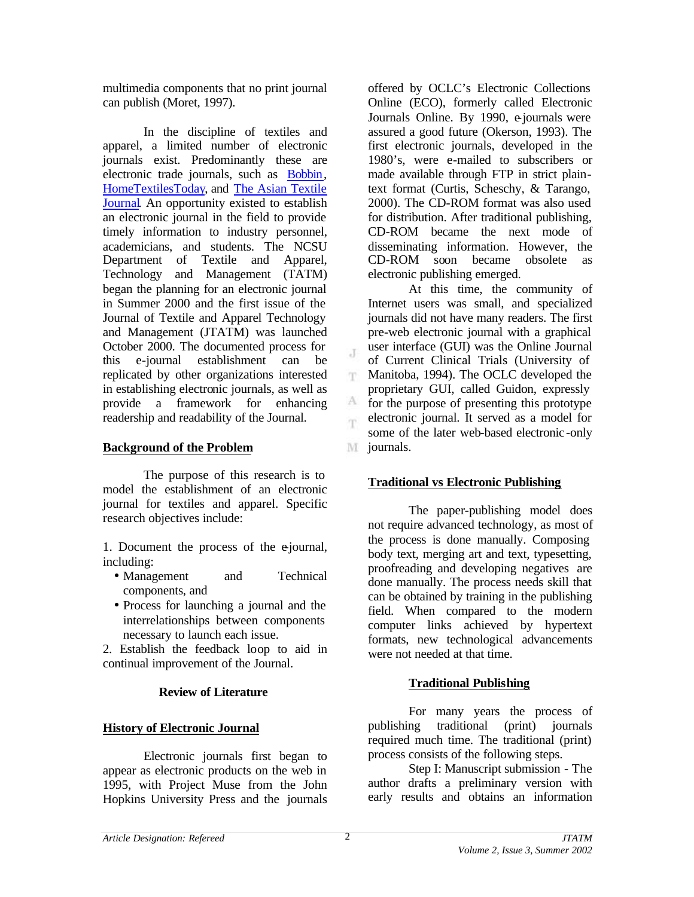multimedia components that no print journal can publish (Moret, 1997).

In the discipline of textiles and apparel, a limited number of electronic journals exist. Predominantly these are electronic trade journals, such as Bobbin, HomeTextilesToday, and The Asian Textile Journal. An opportunity existed to establish an electronic journal in the field to provide timely information to industry personnel, academicians, and students. The NCSU Department of Textile and Apparel, Technology and Management (TATM) began the planning for an electronic journal in Summer 2000 and the first issue of the Journal of Textile and Apparel Technology and Management (JTATM) was launched October 2000. The documented process for this e-journal establishment can be replicated by other organizations interested in establishing electronic journals, as well as provide a framework for enhancing readership and readability of the Journal.

# **Background of the Problem**

The purpose of this research is to model the establishment of an electronic journal for textiles and apparel. Specific research objectives include:

1. Document the process of the e-journal, including:

- Management and Technical components, and
- Process for launching a journal and the interrelationships between components necessary to launch each issue.

2. Establish the feedback loop to aid in continual improvement of the Journal.

#### **Review of Literature**

#### **History of Electronic Journal**

Electronic journals first began to appear as electronic products on the web in 1995, with Project Muse from the John Hopkins University Press and the journals offered by OCLC's Electronic Collections Online (ECO), formerly called Electronic Journals Online. By 1990, e-journals were assured a good future (Okerson, 1993). The first electronic journals, developed in the 1980's, were e-mailed to subscribers or made available through FTP in strict plaintext format (Curtis, Scheschy, & Tarango, 2000). The CD-ROM format was also used for distribution. After traditional publishing, CD-ROM became the next mode of disseminating information. However, the CD-ROM soon became obsolete as electronic publishing emerged.

At this time, the community of Internet users was small, and specialized journals did not have many readers. The first pre-web electronic journal with a graphical user interface (GUI) was the Online Journal of Current Clinical Trials (University of Manitoba, 1994). The OCLC developed the T. proprietary GUI, called Guidon, expressly A for the purpose of presenting this prototype electronic journal. It served as a model for im. some of the later web-based electronic -only M journals.

# **Traditional vs Electronic Publishing**

The paper-publishing model does not require advanced technology, as most of the process is done manually. Composing body text, merging art and text, typesetting, proofreading and developing negatives are done manually. The process needs skill that can be obtained by training in the publishing field. When compared to the modern computer links achieved by hypertext formats, new technological advancements were not needed at that time.

#### **Traditional Publishing**

For many years the process of publishing traditional (print) journals required much time. The traditional (print) process consists of the following steps.

Step I: Manuscript submission - The author drafts a preliminary version with early results and obtains an information

J.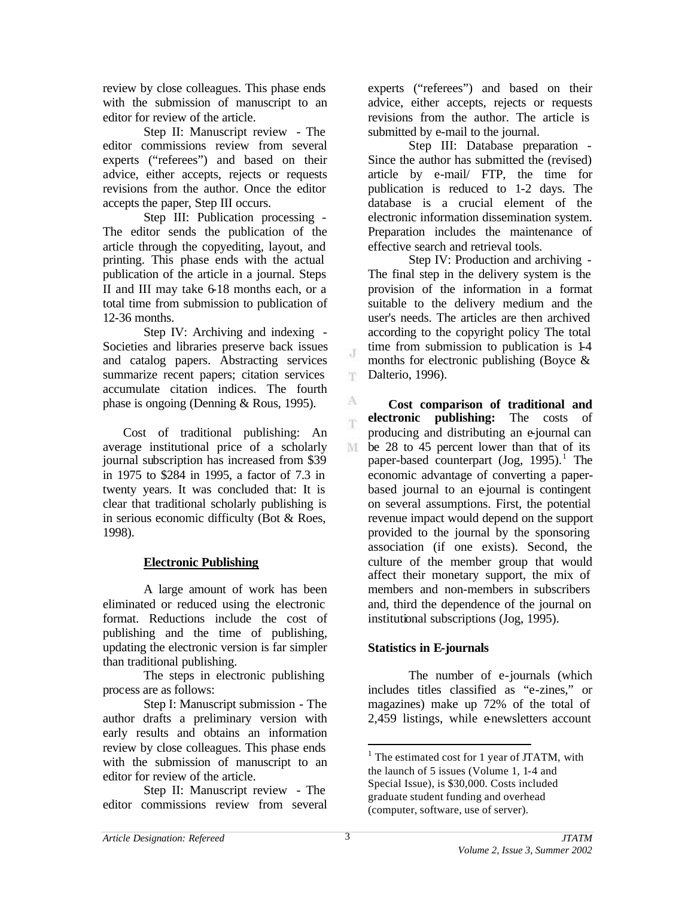review by close colleagues. This phase ends with the submission of manuscript to an editor for review of the article.

Step II: Manuscript review - The editor commissions review from several experts ("referees") and based on their advice, either accepts, rejects or requests revisions from the author. Once the editor accepts the paper, Step III occurs.

Step III: Publication processing - The editor sends the publication of the article through the copyediting, layout, and printing. This phase ends with the actual publication of the article in a journal. Steps II and III may take 6-18 months each, or a total time from submission to publication of 12-36 months.

Step IV: Archiving and indexing - Societies and libraries preserve back issues and catalog papers. Abstracting services summarize recent papers; citation services accumulate citation indices. The fourth phase is ongoing (Denning & Rous, 1995).

Cost of traditional publishing: An average institutional price of a scholarly journal subscription has increased from \$39 in 1975 to \$284 in 1995, a factor of 7.3 in twenty years. It was concluded that: It is clear that traditional scholarly publishing is in serious economic difficulty (Bot & Roes, 1998).

# **Electronic Publishing**

A large amount of work has been eliminated or reduced using the electronic format. Reductions include the cost of publishing and the time of publishing, updating the electronic version is far simpler than traditional publishing.

The steps in electronic publishing process are as follows:

Step I: Manuscript submission - The author drafts a preliminary version with early results and obtains an information review by close colleagues. This phase ends with the submission of manuscript to an editor for review of the article.

Step II: Manuscript review - The editor commissions review from several experts ("referees") and based on their advice, either accepts, rejects or requests revisions from the author. The article is submitted by e-mail to the journal.

Step III: Database preparation - Since the author has submitted the (revised) article by e-mail/ FTP, the time for publication is reduced to 1-2 days. The database is a crucial element of the electronic information dissemination system. Preparation includes the maintenance of effective search and retrieval tools.

Step IV: Production and archiving - The final step in the delivery system is the provision of the information in a format suitable to the delivery medium and the user's needs. The articles are then archived according to the copyright policy The total time from submission to publication is 1-4 months for electronic publishing (Boyce & Dalterio, 1996).

**Cost comparison of traditional and electronic publishing:** The costs of m. producing and distributing an e-journal can M be 28 to 45 percent lower than that of its paper-based counterpart  $($ Jog, 1995 $).<sup>1</sup>$  The economic advantage of converting a paperbased journal to an e-journal is contingent on several assumptions. First, the potential revenue impact would depend on the support provided to the journal by the sponsoring association (if one exists). Second, the culture of the member group that would affect their monetary support, the mix of members and non-members in subscribers and, third the dependence of the journal on institutional subscriptions (Jog, 1995).

# **Statistics in E-journals**

The number of e-journals (which includes titles classified as "e-zines," or magazines) make up 72% of the total of 2,459 listings, while e-newsletters account

 $\overline{a}$ 

T.

A

<sup>&</sup>lt;sup>1</sup> The estimated cost for 1 year of JTATM, with the launch of 5 issues (Volume 1, 1-4 and Special Issue), is \$30,000. Costs included graduate student funding and overhead (computer, software, use of server).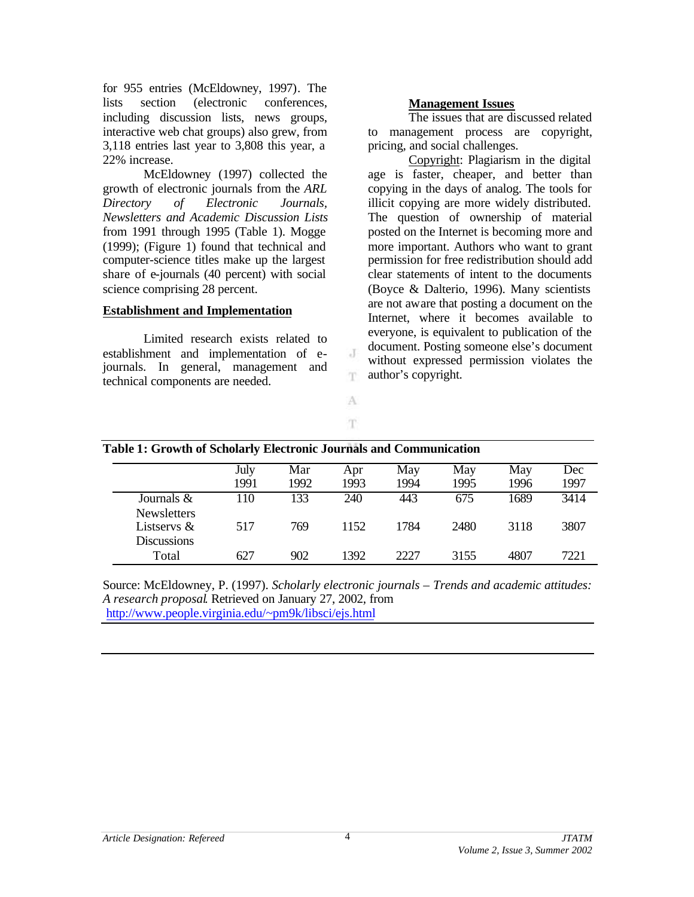for 955 entries (McEldowney, 1997). The lists section (electronic conferences, including discussion lists, news groups, interactive web chat groups) also grew, from 3,118 entries last year to 3,808 this year, a 22% increase.

McEldowney (1997) collected the growth of electronic journals from the *ARL Directory of Electronic Journals, Newsletters and Academic Discussion Lists* from 1991 through 1995 (Table 1). Mogge (1999); (Figure 1) found that technical and computer-science titles make up the largest share of e-journals (40 percent) with social science comprising 28 percent.

#### **Establishment and Implementation**

Limited research exists related to establishment and implementation of ejournals. In general, management and technical components are needed.

#### **Management Issues**

The issues that are discussed related to management process are copyright, pricing, and social challenges.

Copyright: Plagiarism in the digital age is faster, cheaper, and better than copying in the days of analog. The tools for illicit copying are more widely distributed. The question of ownership of material posted on the Internet is becoming more and more important. Authors who want to grant permission for free redistribution should add clear statements of intent to the documents (Boyce & Dalterio, 1996). Many scientists are not aware that posting a document on the Internet, where it becomes available to everyone, is equivalent to publication of the document. Posting someone else's document without expressed permission violates the author's copyright.

| <b>Table 1: Growth of Scholarly Electronic Journals and Communication</b> | July<br>1991 | Mar<br>1992 | Apr<br>1993 | May<br>1994 | May<br>1995 | May<br>1996 | Dec<br>1997 |
|---------------------------------------------------------------------------|--------------|-------------|-------------|-------------|-------------|-------------|-------------|
|                                                                           |              |             |             |             |             |             |             |
| Journals $\&$                                                             | 110          | 133         | 240         | 443         | 675         | 1689        | 3414        |
| <b>Newsletters</b>                                                        |              |             |             |             |             |             |             |
| Listservs $\&$                                                            | 517          | 769         | 1152        | 1784        | 2480        | 3118        | 3807        |
| <b>Discussions</b>                                                        |              |             |             |             |             |             |             |
| Total                                                                     | 62 I         | 902         | 1392        | 2227        | 3155        | 4807        | 7221        |

J T.

A T.

| _________ | $\overline{\phantom{a}}$ | $90^\circ$ | 307          | $\mathbf{a}\mathbf{a}\mathbf{a}$ | 3155        | $\Omega$ | $-22$ |
|-----------|--------------------------|------------|--------------|----------------------------------|-------------|----------|-------|
| "otal     | 62 <sub>1</sub>          | '∪∠        | 1 <i>JJL</i> | ، ساسا                           | <u>JIJJ</u> | 48U.     | 221   |
|           |                          |            |              |                                  |             |          |       |

Source: McEldowney, P. (1997). *Scholarly electronic journals – Trends and academic attitudes: A research proposal*. Retrieved on January 27, 2002, from http://www.people.virginia.edu/~pm9k/libsci/ejs.html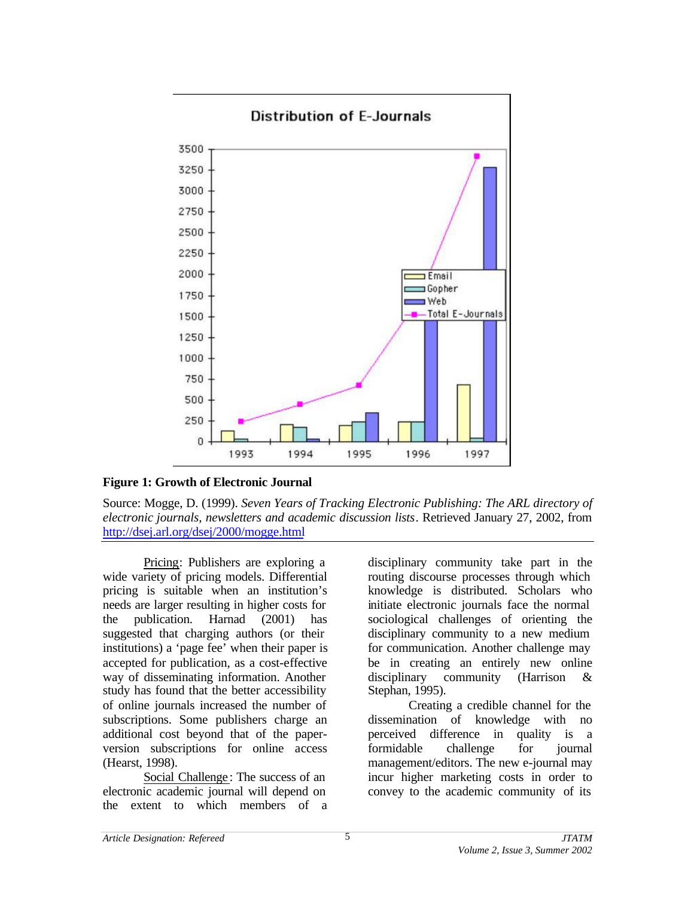

**Figure 1: Growth of Electronic Journal**

Source: Mogge, D. (1999). *Seven Years of Tracking Electronic Publishing: The ARL directory of electronic journals, newsletters and academic discussion lists*. Retrieved January 27, 2002, from http://dsej.arl.org/dsej/2000/mogge.html

Pricing: Publishers are exploring a wide variety of pricing models. Differential pricing is suitable when an institution's needs are larger resulting in higher costs for the publication. Harnad (2001) has suggested that charging authors (or their institutions) a 'page fee' when their paper is accepted for publication, as a cost-effective way of disseminating information. Another study has found that the better accessibility of online journals increased the number of subscriptions. Some publishers charge an additional cost beyond that of the paperversion subscriptions for online access (Hearst, 1998).

Social Challenge : The success of an electronic academic journal will depend on the extent to which members of a disciplinary community take part in the routing discourse processes through which knowledge is distributed. Scholars who initiate electronic journals face the normal sociological challenges of orienting the disciplinary community to a new medium for communication. Another challenge may be in creating an entirely new online disciplinary community (Harrison & Stephan, 1995).

Creating a credible channel for the dissemination of knowledge with no perceived difference in quality is a formidable challenge for journal management/editors. The new e-journal may incur higher marketing costs in order to convey to the academic community of its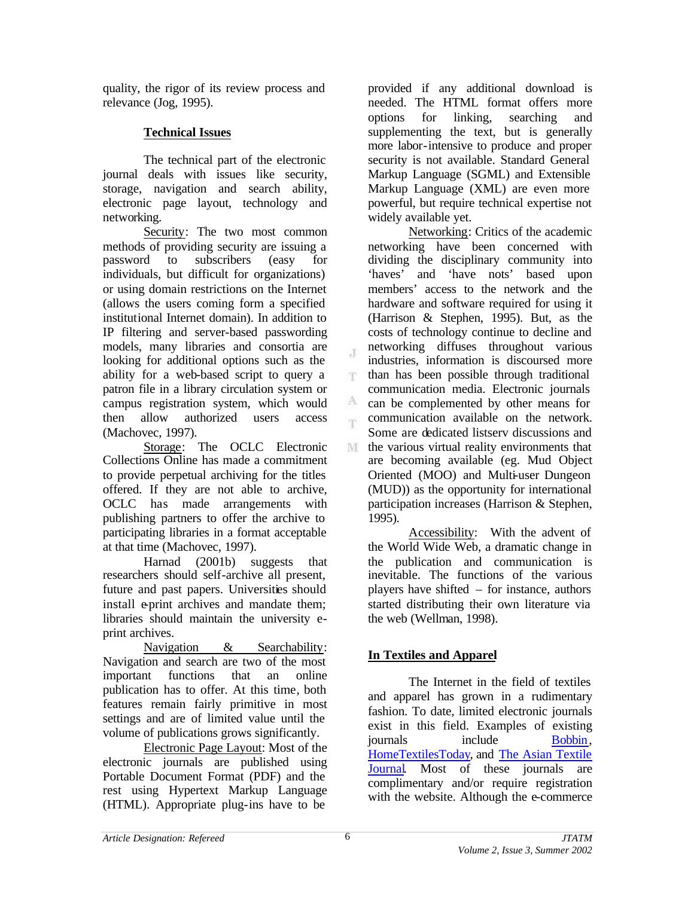quality, the rigor of its review process and relevance (Jog, 1995).

# **Technical Issues**

The technical part of the electronic journal deals with issues like security, storage, navigation and search ability, electronic page layout, technology and networking.

Security: The two most common methods of providing security are issuing a password to subscribers (easy for individuals, but difficult for organizations) or using domain restrictions on the Internet (allows the users coming form a specified institutional Internet domain). In addition to IP filtering and server-based passwording models, many libraries and consortia are looking for additional options such as the ability for a web-based script to query a patron file in a library circulation system or campus registration system, which would then allow authorized users access (Machovec, 1997).

Storage: The OCLC Electronic Collections Online has made a commitment to provide perpetual archiving for the titles offered. If they are not able to archive, OCLC has made arrangements with publishing partners to offer the archive to participating libraries in a format acceptable at that time (Machovec, 1997).

Harnad (2001b) suggests that researchers should self-archive all present, future and past papers. Universities should install e-print archives and mandate them; libraries should maintain the university eprint archives.

Navigation & Searchability: Navigation and search are two of the most important functions that an online publication has to offer. At this time, both features remain fairly primitive in most settings and are of limited value until the volume of publications grows significantly.

Electronic Page Layout: Most of the electronic journals are published using Portable Document Format (PDF) and the rest using Hypertext Markup Language (HTML). Appropriate plug-ins have to be

provided if any additional download is needed. The HTML format offers more options for linking, searching and supplementing the text, but is generally more labor-intensive to produce and proper security is not available. Standard General Markup Language (SGML) and Extensible Markup Language (XML) are even more powerful, but require technical expertise not widely available yet.

Networking: Critics of the academic networking have been concerned with dividing the disciplinary community into 'haves' and 'have nots' based upon members' access to the network and the hardware and software required for using it (Harrison & Stephen, 1995). But, as the costs of technology continue to decline and networking diffuses throughout various industries, information is discoursed more than has been possible through traditional communication media. Electronic journals can be complemented by other means for communication available on the network. Some are dedicated listserv discussions and M the various virtual reality environments that are becoming available (eg. Mud Object Oriented (MOO) and Multi-user Dungeon (MUD)) as the opportunity for international participation increases (Harrison & Stephen, 1995).

Accessibility: With the advent of the World Wide Web, a dramatic change in the publication and communication is inevitable. The functions of the various players have shifted – for instance, authors started distributing their own literature via the web (Wellman, 1998).

# **In Textiles and Apparel**

The Internet in the field of textiles and apparel has grown in a rudimentary fashion. To date, limited electronic journals exist in this field. Examples of existing journals include Bobbin, HomeTextilesToday, and The Asian Textile Journal. Most of these journals are complimentary and/or require registration with the website. Although the e-commerce

T.

A. m.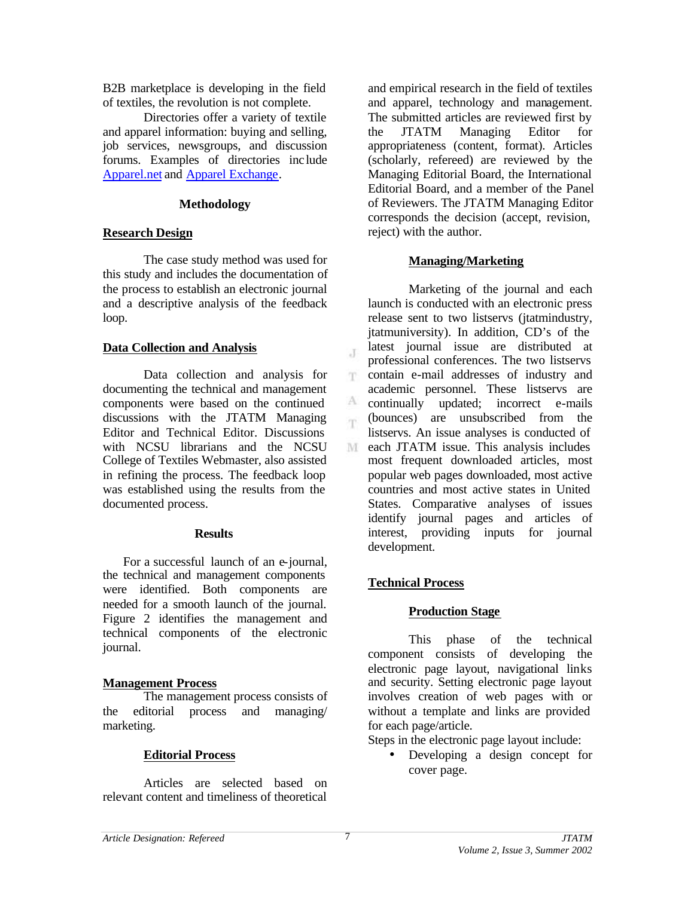B2B marketplace is developing in the field of textiles, the revolution is not complete.

Directories offer a variety of textile and apparel information: buying and selling, job services, newsgroups, and discussion forums. Examples of directories inc lude Apparel.net and Apparel Exchange.

#### **Methodology**

# **Research Design**

The case study method was used for this study and includes the documentation of the process to establish an electronic journal and a descriptive analysis of the feedback loop.

# **Data Collection and Analysis**

Data collection and analysis for documenting the technical and management components were based on the continued discussions with the JTATM Managing Editor and Technical Editor. Discussions with NCSU librarians and the NCSU College of Textiles Webmaster, also assisted in refining the process. The feedback loop was established using the results from the documented process.

# **Results**

For a successful launch of an e-journal, the technical and management components were identified. Both components are needed for a smooth launch of the journal. Figure 2 identifies the management and technical components of the electronic journal.

# **Management Process**

The management process consists of the editorial process and managing/ marketing.

# **Editorial Process**

Articles are selected based on relevant content and timeliness of theoretical

and empirical research in the field of textiles and apparel, technology and management. The submitted articles are reviewed first by the JTATM Managing Editor for appropriateness (content, format). Articles (scholarly, refereed) are reviewed by the Managing Editorial Board, the International Editorial Board, and a member of the Panel of Reviewers. The JTATM Managing Editor corresponds the decision (accept, revision, reject) with the author.

# **Managing/Marketing**

Marketing of the journal and each launch is conducted with an electronic press release sent to two listservs (jtatmindustry, jtatmuniversity). In addition, CD's of the latest journal issue are distributed at professional conferences. The two listservs T. contain e-mail addresses of industry and academic personnel. These listservs are A. continually updated; incorrect e-mails (bounces) are unsubscribed from the im. listservs. An issue analyses is conducted of M each JTATM issue. This analysis includes most frequent downloaded articles, most popular web pages downloaded, most active countries and most active states in United States. Comparative analyses of issues identify journal pages and articles of interest, providing inputs for journal development.

# **Technical Process**

# **Production Stage**

This phase of the technical component consists of developing the electronic page layout, navigational links and security. Setting electronic page layout involves creation of web pages with or without a template and links are provided for each page/article.

Steps in the electronic page layout include:

• Developing a design concept for cover page.

 $\mathcal{X}$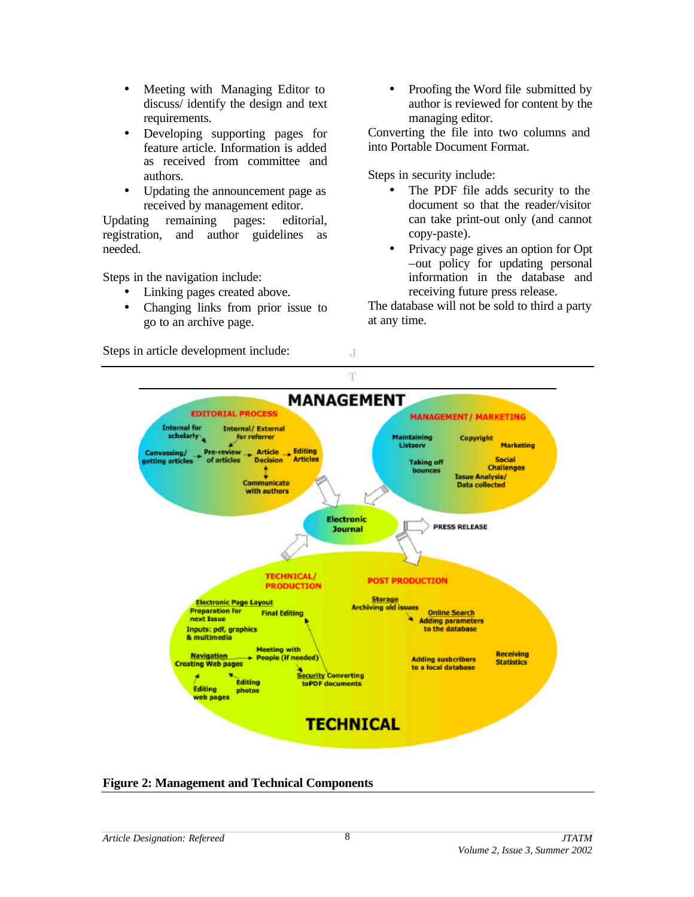- Meeting with Managing Editor to discuss/ identify the design and text requirements.
- Developing supporting pages for feature article. Information is added as received from committee and authors.
- Updating the announcement page as received by management editor.

Updating remaining pages: editorial, registration, and author guidelines as needed.

Steps in the navigation include:

- Linking pages created above.
- Changing links from prior issue to go to an archive page.
- Steps in article development include:

• Proofing the Word file submitted by author is reviewed for content by the managing editor.

Converting the file into two columns and into Portable Document Format.

Steps in security include:

- The PDF file adds security to the document so that the reader/visitor can take print-out only (and cannot copy-paste).
- Privacy page gives an option for Opt –out policy for updating personal information in the database and receiving future press release.

The database will not be sold to third a party at any time.



 $\rm J$ 

**Figure 2: Management and Technical Components**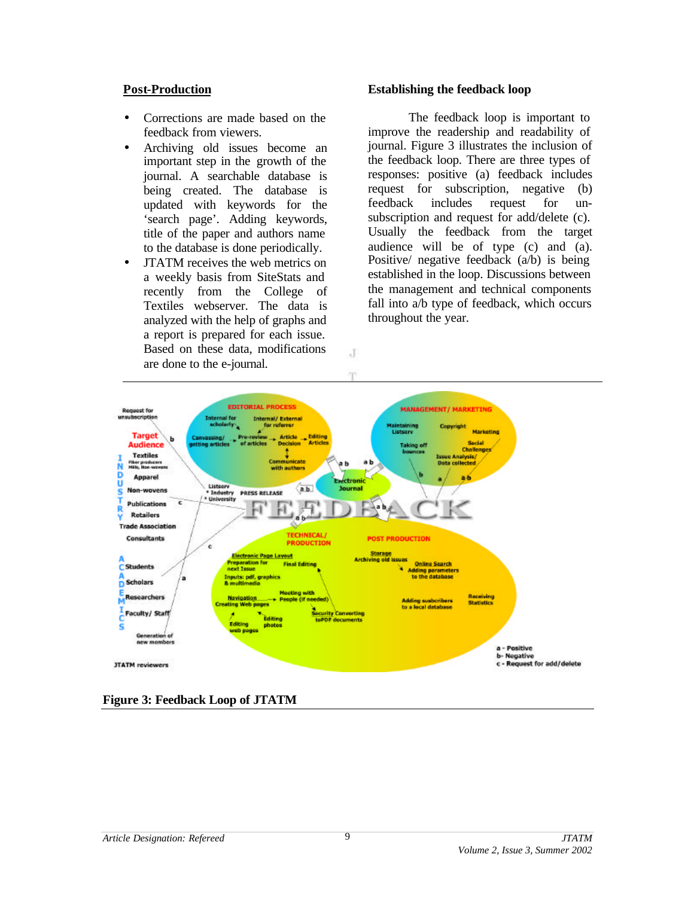#### **Post-Production**

- Corrections are made based on the feedback from viewers.
- Archiving old issues become an important step in the growth of the journal. A searchable database is being created. The database is updated with keywords for the 'search page'. Adding keywords, title of the paper and authors name to the database is done periodically.
- JTATM receives the web metrics on a weekly basis from SiteStats and recently from the College of Textiles webserver. The data is analyzed with the help of graphs and a report is prepared for each issue. Based on these data, modifications are done to the e-journal.

#### **Establishing the feedback loop**

The feedback loop is important to improve the readership and readability of journal. Figure 3 illustrates the inclusion of the feedback loop. There are three types of responses: positive (a) feedback includes request for subscription, negative (b) feedback includes request for unsubscription and request for add/delete (c). Usually the feedback from the target audience will be of type (c) and (a). Positive/ negative feedback (a/b) is being established in the loop. Discussions between the management and technical components fall into a/b type of feedback, which occurs throughout the year.



 $\cdot$ T

**Figure 3: Feedback Loop of JTATM**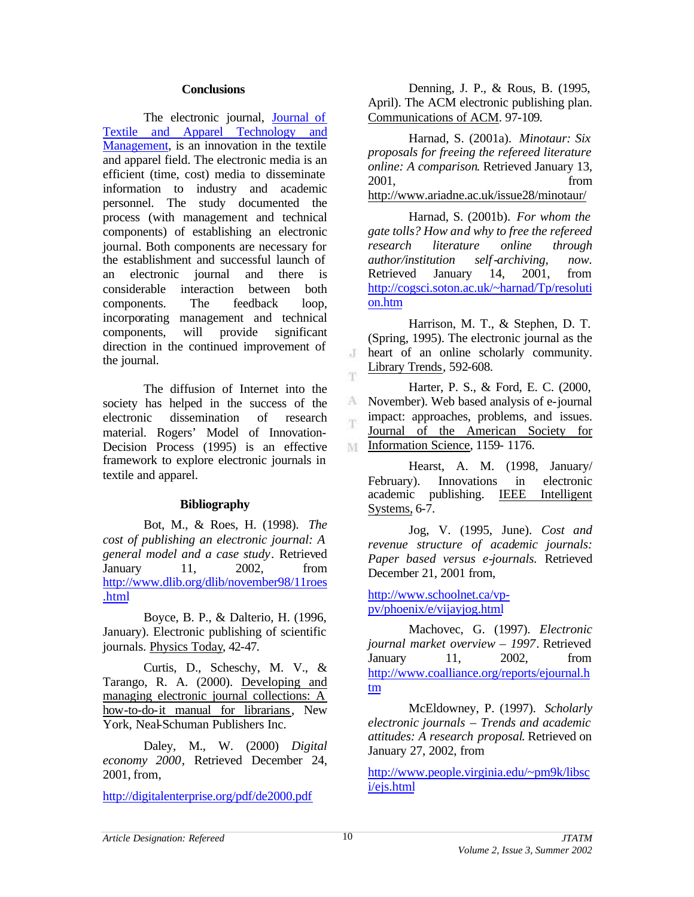#### **Conclusions**

The electronic journal, Journal of Textile and Apparel Technology and Management, is an innovation in the textile and apparel field. The electronic media is an efficient (time, cost) media to disseminate information to industry and academic personnel. The study documented the process (with management and technical components) of establishing an electronic journal. Both components are necessary for the establishment and successful launch of an electronic journal and there is considerable interaction between both components. The feedback loop, incorporating management and technical components, will provide significant direction in the continued improvement of the journal.

The diffusion of Internet into the society has helped in the success of the electronic dissemination of research material. Rogers' Model of Innovation-Decision Process (1995) is an effective framework to explore electronic journals in textile and apparel.

# **Bibliography**

Bot, M., & Roes, H. (1998). *The cost of publishing an electronic journal: A general model and a case study*. Retrieved January 11, 2002, from http://www.dlib.org/dlib/november98/11roes .html

Boyce, B. P., & Dalterio, H. (1996, January). Electronic publishing of scientific journals. Physics Today, 42-47.

Curtis, D., Scheschy, M. V., & Tarango, R. A. (2000). Developing and managing electronic journal collections: A how-to-do-it manual for librarians, New York, Neal-Schuman Publishers Inc.

Daley, M., W. (2000) *Digital economy 2000*, Retrieved December 24, 2001, from,

http://digitalenterprise.org/pdf/de2000.pdf

Denning, J. P., & Rous, B. (1995, April). The ACM electronic publishing plan. Communications of ACM. 97-109.

Harnad, S. (2001a). *Minotaur: Six proposals for freeing the refereed literature online: A comparison*. Retrieved January 13, 2001, from http://www.ariadne.ac.uk/issue28/minotaur/

Harnad, S. (2001b). *For whom the gate tolls? How and why to free the refereed research literature online through author/institution self-archiving, now.* Retrieved January 14, 2001, from http://cogsci.soton.ac.uk/~harnad/Tp/resoluti on.htm

Harrison, M. T., & Stephen, D. T. (Spring, 1995). The electronic journal as the heart of an online scholarly community.  $\cdot$ T Library Trends, 592-608.

m. Harter, P. S., & Ford, E. C. (2000, November). Web based analysis of e-journal A. impact: approaches, problems, and issues. m. Journal of the American Society for Information Science, 1159-1176.

Hearst, A. M. (1998, January/ February). Innovations in electronic academic publishing. IEEE Intelligent Systems, 6-7.

Jog, V. (1995, June). *Cost and revenue structure of academic journals: Paper based versus e-journals.* Retrieved December 21, 2001 from,

http://www.schoolnet.ca/vppv/phoenix/e/vijayjog.html

Machovec, G. (1997). *Electronic journal market overview – 1997*. Retrieved January 11, 2002, from http://www.coalliance.org/reports/ejournal.h tm

McEldowney, P. (1997). *Scholarly electronic journals – Trends and academic attitudes: A research proposal*. Retrieved on January 27, 2002, from

http://www.people.virginia.edu/~pm9k/libsc i/ejs.html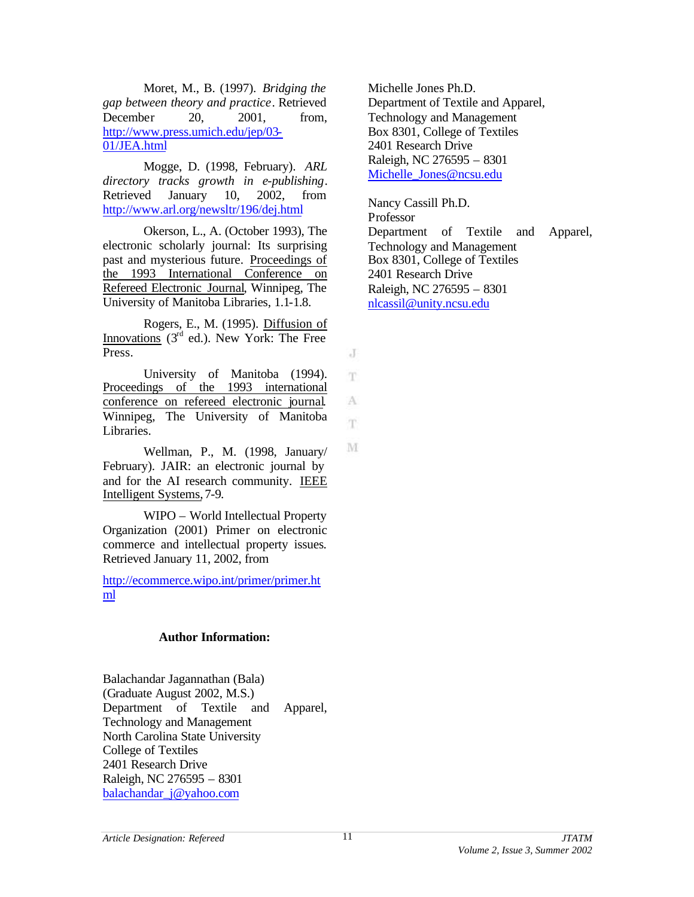Moret, M., B. (1997). *Bridging the gap between theory and practice*. Retrieved December 20, 2001, from, http://www.press.umich.edu/jep/03- 01/JEA.html

Mogge, D. (1998, February). *ARL directory tracks growth in e-publishing*. Retrieved January 10, 2002, from http://www.arl.org/newsltr/196/dej.html

Okerson, L., A. (October 1993), The electronic scholarly journal: Its surprising past and mysterious future. Proceedings of the 1993 International Conference on Refereed Electronic Journal, Winnipeg, The University of Manitoba Libraries, 1.1-1.8.

Rogers, E., M. (1995). Diffusion of Innovations  $(3<sup>rd</sup>$  ed.). New York: The Free Press.

University of Manitoba (1994). Proceedings of the 1993 international conference on refereed electronic journal. Winnipeg, The University of Manitoba Libraries.

Wellman, P., M. (1998, January/ February). JAIR: an electronic journal by and for the AI research community. IEEE Intelligent Systems, 7-9.

WIPO – World Intellectual Property Organization (2001) Primer on electronic commerce and intellectual property issues*.*  Retrieved January 11, 2002, from

http://ecommerce.wipo.int/primer/primer.ht ml

#### **Author Information:**

Balachandar Jagannathan (Bala) (Graduate August 2002, M.S.) Department of Textile and Apparel, Technology and Management North Carolina State University College of Textiles 2401 Research Drive Raleigh, NC 276595 – 8301 balachandar\_j@yahoo.com

Michelle Jones Ph.D. Department of Textile and Apparel, Technology and Management Box 8301, College of Textiles 2401 Research Drive Raleigh, NC 276595 – 8301 Michelle\_Jones@ncsu.edu

Nancy Cassill Ph.D. Professor Department of Textile and Apparel, Technology and Management Box 8301, College of Textiles 2401 Research Drive Raleigh, NC 276595 – 8301 nlcassil@unity.ncsu.edu

J T

A m.

M